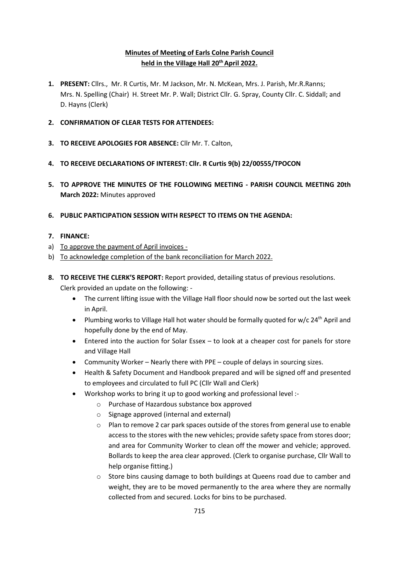### **Minutes of Meeting of Earls Colne Parish Council held in the Village Hall 20thApril 2022.**

- **1. PRESENT:** Cllrs., Mr. R Curtis, Mr. M Jackson, Mr. N. McKean, Mrs. J. Parish, Mr.R.Ranns; Mrs. N. Spelling (Chair) H. Street Mr. P. Wall; District Cllr. G. Spray, County Cllr. C. Siddall; and D. Hayns (Clerk)
- **2. CONFIRMATION OF CLEAR TESTS FOR ATTENDEES:**
- **3. TO RECEIVE APOLOGIES FOR ABSENCE:** Cllr Mr. T. Calton,
- **4. TO RECEIVE DECLARATIONS OF INTEREST: Cllr. R Curtis 9(b) 22/00555/TPOCON**
- **5. TO APPROVE THE MINUTES OF THE FOLLOWING MEETING - PARISH COUNCIL MEETING 20th March 2022:** Minutes approved
- **6. PUBLIC PARTICIPATION SESSION WITH RESPECT TO ITEMS ON THE AGENDA:**
- **7. FINANCE:**
- a) To approve the payment of April invoices -
- b) To acknowledge completion of the bank reconciliation for March 2022.
- **8. TO RECEIVE THE CLERK'S REPORT:** Report provided, detailing status of previous resolutions. Clerk provided an update on the following: -
	- The current lifting issue with the Village Hall floor should now be sorted out the last week in April.
	- Plumbing works to Village Hall hot water should be formally quoted for w/c 24<sup>th</sup> April and hopefully done by the end of May.
	- Entered into the auction for Solar Essex to look at a cheaper cost for panels for store and Village Hall
	- Community Worker Nearly there with PPE couple of delays in sourcing sizes.
	- Health & Safety Document and Handbook prepared and will be signed off and presented to employees and circulated to full PC (Cllr Wall and Clerk)
	- Workshop works to bring it up to good working and professional level :
		- o Purchase of Hazardous substance box approved
		- o Signage approved (internal and external)
		- $\circ$  Plan to remove 2 car park spaces outside of the stores from general use to enable access to the stores with the new vehicles; provide safety space from stores door; and area for Community Worker to clean off the mower and vehicle; approved. Bollards to keep the area clear approved. (Clerk to organise purchase, Cllr Wall to help organise fitting.)
		- o Store bins causing damage to both buildings at Queens road due to camber and weight, they are to be moved permanently to the area where they are normally collected from and secured. Locks for bins to be purchased.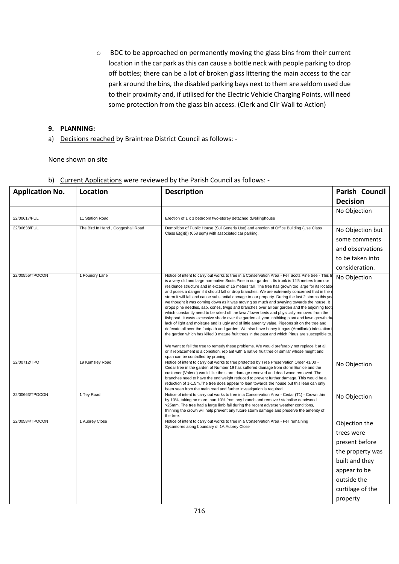o BDC to be approached on permanently moving the glass bins from their current location in the car park as this can cause a bottle neck with people parking to drop off bottles; there can be a lot of broken glass littering the main access to the car park around the bins, the disabled parking bays next to them are seldom used due to their proximity and, if utilised for the Electric Vehicle Charging Points, will need some protection from the glass bin access. (Clerk and Cllr Wall to Action)

#### **9. PLANNING:**

a) Decisions reached by Braintree District Council as follows: -

None shown on site

| <b>Application No.</b> | <b>Location</b>                                                                                       | <b>Description</b>                                                                                                                                                                                                                                                                                                                                                                                                                                                                                                                                                                                                                                                                                                                                                                                                                                                                                                                                                                                                                                                                                                                                                                                                                                                                                                                                                                                                                                               | Parish Council   |
|------------------------|-------------------------------------------------------------------------------------------------------|------------------------------------------------------------------------------------------------------------------------------------------------------------------------------------------------------------------------------------------------------------------------------------------------------------------------------------------------------------------------------------------------------------------------------------------------------------------------------------------------------------------------------------------------------------------------------------------------------------------------------------------------------------------------------------------------------------------------------------------------------------------------------------------------------------------------------------------------------------------------------------------------------------------------------------------------------------------------------------------------------------------------------------------------------------------------------------------------------------------------------------------------------------------------------------------------------------------------------------------------------------------------------------------------------------------------------------------------------------------------------------------------------------------------------------------------------------------|------------------|
|                        |                                                                                                       |                                                                                                                                                                                                                                                                                                                                                                                                                                                                                                                                                                                                                                                                                                                                                                                                                                                                                                                                                                                                                                                                                                                                                                                                                                                                                                                                                                                                                                                                  | <b>Decision</b>  |
|                        |                                                                                                       |                                                                                                                                                                                                                                                                                                                                                                                                                                                                                                                                                                                                                                                                                                                                                                                                                                                                                                                                                                                                                                                                                                                                                                                                                                                                                                                                                                                                                                                                  | No Objection     |
| 22/00617/FUL           | 11 Station Road                                                                                       | Erection of 1 x 3 bedroom two-storey detached dwellinghouse                                                                                                                                                                                                                                                                                                                                                                                                                                                                                                                                                                                                                                                                                                                                                                                                                                                                                                                                                                                                                                                                                                                                                                                                                                                                                                                                                                                                      |                  |
| 22/00638/FUL           | The Bird In Hand, Coggeshall Road                                                                     | Demolition of Public House (Sui Generis Use) and erection of Office Building (Use Class<br>Class $E(g)(i)$ (658 sqm) with associated car parking.                                                                                                                                                                                                                                                                                                                                                                                                                                                                                                                                                                                                                                                                                                                                                                                                                                                                                                                                                                                                                                                                                                                                                                                                                                                                                                                | No Objection but |
|                        |                                                                                                       |                                                                                                                                                                                                                                                                                                                                                                                                                                                                                                                                                                                                                                                                                                                                                                                                                                                                                                                                                                                                                                                                                                                                                                                                                                                                                                                                                                                                                                                                  | some comments    |
|                        |                                                                                                       |                                                                                                                                                                                                                                                                                                                                                                                                                                                                                                                                                                                                                                                                                                                                                                                                                                                                                                                                                                                                                                                                                                                                                                                                                                                                                                                                                                                                                                                                  | and observations |
|                        |                                                                                                       |                                                                                                                                                                                                                                                                                                                                                                                                                                                                                                                                                                                                                                                                                                                                                                                                                                                                                                                                                                                                                                                                                                                                                                                                                                                                                                                                                                                                                                                                  | to be taken into |
|                        |                                                                                                       |                                                                                                                                                                                                                                                                                                                                                                                                                                                                                                                                                                                                                                                                                                                                                                                                                                                                                                                                                                                                                                                                                                                                                                                                                                                                                                                                                                                                                                                                  | consideration.   |
| 22/00555/TPOCON        | 1 Foundry Lane                                                                                        | Notice of intent to carry out works to tree in a Conservation Area - Fell Scots Pine tree - This t<br>is a very old and large non-native Scots Pine in our garden Its trunk is 12'5 meters from our<br>residence structure and in excess of 15 meters tall. The tree has grown too large for its locatio<br>and poses a danger if it should fall or drop branches. We are extremely concerned that in the i<br>storm it will fall and cause substantial damage to our property. During the last 2 storms this yea<br>we thought it was coming down as it was moving so much and swaying towards the house. It<br>drops pine needles, sap, cones, twigs and branches over all our garden and the adjoining foot<br>which constantly need to be raked off the lawn/flower beds and physically removed from the<br>fishpond. It casts excessive shade over the garden all year inhibiting plant and lawn growth du<br>lack of light and moisture and is ugly and of little amenity value. Pigeons sit on the tree and<br>defecate all over the footpath and garden. We also have honey fungus (Armillaria) infestation<br>the garden which has killed 3 mature fruit trees in the past and which Pinus are susceptible to.<br>We want to fell the tree to remedy these problems. We would preferably not replace it at all,<br>or if replacement is a condition, replant with a native fruit tree or similar whose height and<br>span can be controlled by pruning. | No Objection     |
| 22/00712/TPO           | 19 Kemsley Road                                                                                       | Notice of intent to carry out works to tree protected by Tree Preservation Order 41/00 -<br>Cedar tree in the garden of Number 19 has suffered damage from storm Eunice and the<br>customer (Valerie) would like the storm damage removed and dead wood removed. The<br>branches need to have the end weight reduced to prevent further damage. This would be a<br>reduction of 1-1.5m. The tree does appear to lean towards the house but this lean can only<br>been seen from the main road and further investigation is required.                                                                                                                                                                                                                                                                                                                                                                                                                                                                                                                                                                                                                                                                                                                                                                                                                                                                                                                             | No Objection     |
| 22/00663/TPOCON        | 1 Tey Road                                                                                            | Notice of intent to carry out works to tree in a Conservation Area - Cedar (T1) - Crown thin<br>by 10%, taking no more than 10% from any branch and remove / stabalise deadwood<br>>25mm. The tree had a large limb fail during the recent adverse weather conditions,<br>thinning the crown will help prevent any future storm damage and preserve the amenity of<br>the tree.                                                                                                                                                                                                                                                                                                                                                                                                                                                                                                                                                                                                                                                                                                                                                                                                                                                                                                                                                                                                                                                                                  | No Objection     |
| 22/00584/TPOCON        | 1 Aubrey Close<br>Notice of intent to carry out works to tree in a Conservation Area - Fell remaining | Sycamores along boundary of 1A Aubrey Close                                                                                                                                                                                                                                                                                                                                                                                                                                                                                                                                                                                                                                                                                                                                                                                                                                                                                                                                                                                                                                                                                                                                                                                                                                                                                                                                                                                                                      | Objection the    |
|                        |                                                                                                       |                                                                                                                                                                                                                                                                                                                                                                                                                                                                                                                                                                                                                                                                                                                                                                                                                                                                                                                                                                                                                                                                                                                                                                                                                                                                                                                                                                                                                                                                  | trees were       |
|                        |                                                                                                       |                                                                                                                                                                                                                                                                                                                                                                                                                                                                                                                                                                                                                                                                                                                                                                                                                                                                                                                                                                                                                                                                                                                                                                                                                                                                                                                                                                                                                                                                  | present before   |
|                        |                                                                                                       |                                                                                                                                                                                                                                                                                                                                                                                                                                                                                                                                                                                                                                                                                                                                                                                                                                                                                                                                                                                                                                                                                                                                                                                                                                                                                                                                                                                                                                                                  | the property was |
|                        |                                                                                                       |                                                                                                                                                                                                                                                                                                                                                                                                                                                                                                                                                                                                                                                                                                                                                                                                                                                                                                                                                                                                                                                                                                                                                                                                                                                                                                                                                                                                                                                                  | built and they   |
|                        |                                                                                                       |                                                                                                                                                                                                                                                                                                                                                                                                                                                                                                                                                                                                                                                                                                                                                                                                                                                                                                                                                                                                                                                                                                                                                                                                                                                                                                                                                                                                                                                                  | appear to be     |
|                        |                                                                                                       |                                                                                                                                                                                                                                                                                                                                                                                                                                                                                                                                                                                                                                                                                                                                                                                                                                                                                                                                                                                                                                                                                                                                                                                                                                                                                                                                                                                                                                                                  | outside the      |
|                        |                                                                                                       |                                                                                                                                                                                                                                                                                                                                                                                                                                                                                                                                                                                                                                                                                                                                                                                                                                                                                                                                                                                                                                                                                                                                                                                                                                                                                                                                                                                                                                                                  | curtilage of the |
|                        |                                                                                                       |                                                                                                                                                                                                                                                                                                                                                                                                                                                                                                                                                                                                                                                                                                                                                                                                                                                                                                                                                                                                                                                                                                                                                                                                                                                                                                                                                                                                                                                                  | property         |

b) Current Applications were reviewed by the Parish Council as follows: -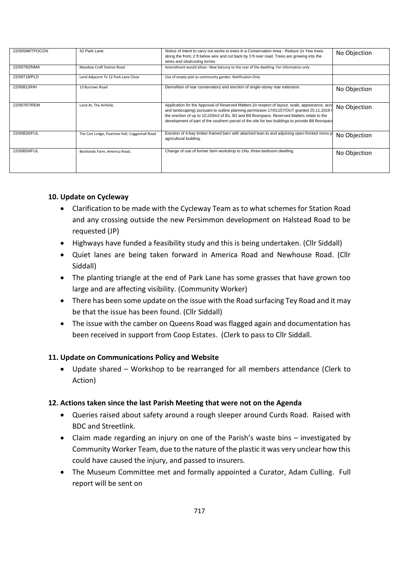| 22/00598/TPOCON | 42 Park Lane                                   | Notice of intent to carry out works to trees in a Conservation Area - Reduce 2x Yew trees<br>along the front, 2 ft below wire and cut back by 3 ft over road. Trees are growing into the<br>wires and obstructing lorries                                                                                                                                                                        | No Objection |
|-----------------|------------------------------------------------|--------------------------------------------------------------------------------------------------------------------------------------------------------------------------------------------------------------------------------------------------------------------------------------------------------------------------------------------------------------------------------------------------|--------------|
| 22/00782/NMA    | Meadow Croft Station Road                      | Amendment would allow:- New balcony to the rear of the dwelling. For information only                                                                                                                                                                                                                                                                                                            |              |
| 22/00718/PLD    | Land Adjacent To 12 Park Lane Close            | Use of empty plot as community garden. Notification Only                                                                                                                                                                                                                                                                                                                                         |              |
| 22/00813/HH     | 13 Burrows Road                                | Demolition of rear conservatory and erection of single-storey rear extension.                                                                                                                                                                                                                                                                                                                    | No Objection |
| 22/00787/REM    | Land At, The Airfield,                         | Application for the Approval of Reserved Matters (in respect of layout, scale, appearance, acce<br>and landscaping) pursuant to outline planning permission 17/01157/OUT granted 25.11.2019 f<br>the erection of up to 10,220m2 of B1, B2 and B8 floorspace. Reserved Matters relate to the<br>development of part of the southern parcel of the site for two buildings to provide B8 floorspace | No Objection |
| 22/00826/FUL    | The Cart Lodge, Peartree Hall, Coggeshall Road | Erection of 4-bay timber-framed barn with attached lean-to and adjoining open-fronted mono p<br>agricultural building.                                                                                                                                                                                                                                                                           | No Objection |
| 22/00859/FUL    | Becklands Farm, America Road,                  | Change of use of former farm workshop to 1No. three-bedroom dwelling.                                                                                                                                                                                                                                                                                                                            | No Objection |

## **10. Update on Cycleway**

- Clarification to be made with the Cycleway Team as to what schemes for Station Road and any crossing outside the new Persimmon development on Halstead Road to be requested (JP)
- Highways have funded a feasibility study and this is being undertaken. (Cllr Siddall)
- Quiet lanes are being taken forward in America Road and Newhouse Road. (Cllr Siddall)
- The planting triangle at the end of Park Lane has some grasses that have grown too large and are affecting visibility. (Community Worker)
- There has been some update on the issue with the Road surfacing Tey Road and it may be that the issue has been found. (Cllr Siddall)
- The issue with the camber on Queens Road was flagged again and documentation has been received in support from Coop Estates. (Clerk to pass to Cllr Siddall.

# **11. Update on Communications Policy and Website**

• Update shared – Workshop to be rearranged for all members attendance (Clerk to Action)

### **12. Actions taken since the last Parish Meeting that were not on the Agenda**

- Queries raised about safety around a rough sleeper around Curds Road. Raised with BDC and Streetlink.
- Claim made regarding an injury on one of the Parish's waste bins investigated by Community Worker Team, due to the nature of the plastic it was very unclear how this could have caused the injury, and passed to insurers.
- The Museum Committee met and formally appointed a Curator, Adam Culling. Full report will be sent on